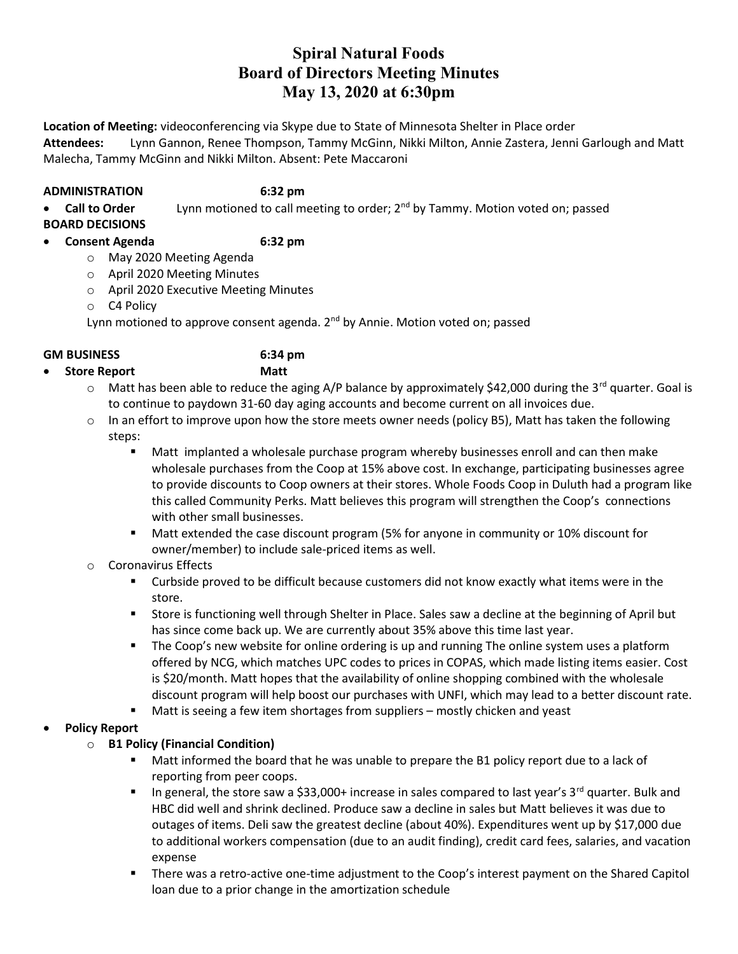## Spiral Natural Foods Board of Directors Meeting Minutes May 13, 2020 at 6:30pm

Location of Meeting: videoconferencing via Skype due to State of Minnesota Shelter in Place order

Attendees: Lynn Gannon, Renee Thompson, Tammy McGinn, Nikki Milton, Annie Zastera, Jenni Garlough and Matt Malecha, Tammy McGinn and Nikki Milton. Absent: Pete Maccaroni

## ADMINISTRATION 6:32 pm

**Call to Order** Lynn motioned to call meeting to order;  $2^{nd}$  by Tammy. Motion voted on; passed

BOARD DECISIONS

## Consent Agenda 6:32 pm

- o May 2020 Meeting Agenda
- o April 2020 Meeting Minutes
- o April 2020 Executive Meeting Minutes
- o C4 Policy

Lynn motioned to approve consent agenda. 2<sup>nd</sup> by Annie. Motion voted on; passed

## GM BUSINESS 6:34 pm

# Store Report Matt

- $\circ$  Matt has been able to reduce the aging A/P balance by approximately \$42,000 during the 3<sup>rd</sup> quarter. Goal is to continue to paydown 31-60 day aging accounts and become current on all invoices due.
- $\circ$  In an effort to improve upon how the store meets owner needs (policy B5), Matt has taken the following steps:
	- Matt implanted a wholesale purchase program whereby businesses enroll and can then make wholesale purchases from the Coop at 15% above cost. In exchange, participating businesses agree to provide discounts to Coop owners at their stores. Whole Foods Coop in Duluth had a program like this called Community Perks. Matt believes this program will strengthen the Coop's connections with other small businesses.
	- Matt extended the case discount program (5% for anyone in community or 10% discount for owner/member) to include sale-priced items as well.
- o Coronavirus Effects
	- **Example 2** Curbside proved to be difficult because customers did not know exactly what items were in the store.
	- Store is functioning well through Shelter in Place. Sales saw a decline at the beginning of April but has since come back up. We are currently about 35% above this time last year.
	- **The Coop's new website for online ordering is up and running The online system uses a platform** offered by NCG, which matches UPC codes to prices in COPAS, which made listing items easier. Cost is \$20/month. Matt hopes that the availability of online shopping combined with the wholesale discount program will help boost our purchases with UNFI, which may lead to a better discount rate.
	- Matt is seeing a few item shortages from suppliers mostly chicken and yeast

## Policy Report

## o B1 Policy (Financial Condition)

- Matt informed the board that he was unable to prepare the B1 policy report due to a lack of reporting from peer coops.
- In general, the store saw a \$33,000+ increase in sales compared to last year's  $3^{rd}$  quarter. Bulk and HBC did well and shrink declined. Produce saw a decline in sales but Matt believes it was due to outages of items. Deli saw the greatest decline (about 40%). Expenditures went up by \$17,000 due to additional workers compensation (due to an audit finding), credit card fees, salaries, and vacation expense
- **There was a retro-active one-time adjustment to the Coop's interest payment on the Shared Capitol** loan due to a prior change in the amortization schedule